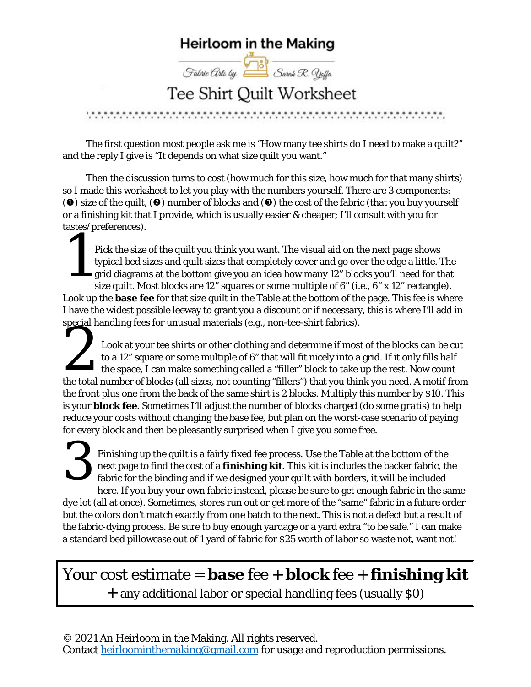## **Heirloom in the Making**

Fabric Arts by Sarah R. Yelfa

## Tee Shirt Quilt Worksheet

The first question most people ask me is "How many tee shirts do I need to make a quilt?" and the reply I give is "It depends on what size quilt you want."

Then the discussion turns to cost (how much for this size, how much for that many shirts) so I made this worksheet to let you play with the numbers yourself. There are 3 components: ( $\odot$ ) size of the quilt, ( $\odot$ ) number of blocks and ( $\odot$ ) the cost of the fabric (that you buy yourself or a finishing kit that I provide, which is usually easier & cheaper; I'll consult with you for tastes/preferences).

Pick the size of the quilt you think you want. The visual aid on the next page shows typical bed sizes and quilt sizes that completely cover and go over the edge a little. The grid diagrams at the bottom give you an idea how many 12" blocks you'll need for that size quilt. Most blocks are 12" squares or some multiple of 6" (i.e., 6" x 12" rectangle). Look up the **base fee** for that size quilt in the Table at the bottom of the page. This fee is where I have the widest possible leeway to grant you a discount or if necessary, this is where I'll add in special handling fees for unusual materials (e.g., non-tee-shirt fabrics). Pi<br>Pi<br>ty<br>gr

Look at your tee shirts or other clothing and determine if most of the blocks can be cut to a 12" square or some multiple of 6" that will fit nicely into a grid. If it only fills half the space, I can make something called a "filler" block to take up the rest. Now count the total number of blocks (all sizes, not counting "fillers") that you think you need. A motif from the front plus one from the back of the same shirt is 2 blocks. Multiply this number by \$10. This is your **block fee**. Sometimes I'll adjust the number of blocks charged (do some *gratis*) to help reduce your costs without changing the base fee, but plan on the worst-case scenario of paying for every block and then be pleasantly surprised when I give you some free. special nan

Finishing up the quilt is a fairly fixed fee process. Use the Table at the bottom of the next page to find the cost of a **finishing kit**. This kit is includes the backer fabric, the fabric for the binding and if we designed your quilt with borders, it will be included here. If you buy your own fabric instead, please be sure to get enough fabric in the same dye lot (all at once). Sometimes, stores run out or get more of the "same" fabric in a future order but the colors don't match exactly from one batch to the next. This is not a defect but a result of the fabric-dying process. Be sure to buy enough yardage or a yard extra "to be safe." I can make a standard bed pillowcase out of 1 yard of fabric for \$25 worth of labor so waste not, want not!  $3<sup>F</sup>$   $n \rightarrow 3<sup>F</sup>$ 

Your cost estimate = **base** fee + **block** fee + **finishing kit** + any additional labor or special handling fees (usually \$0)